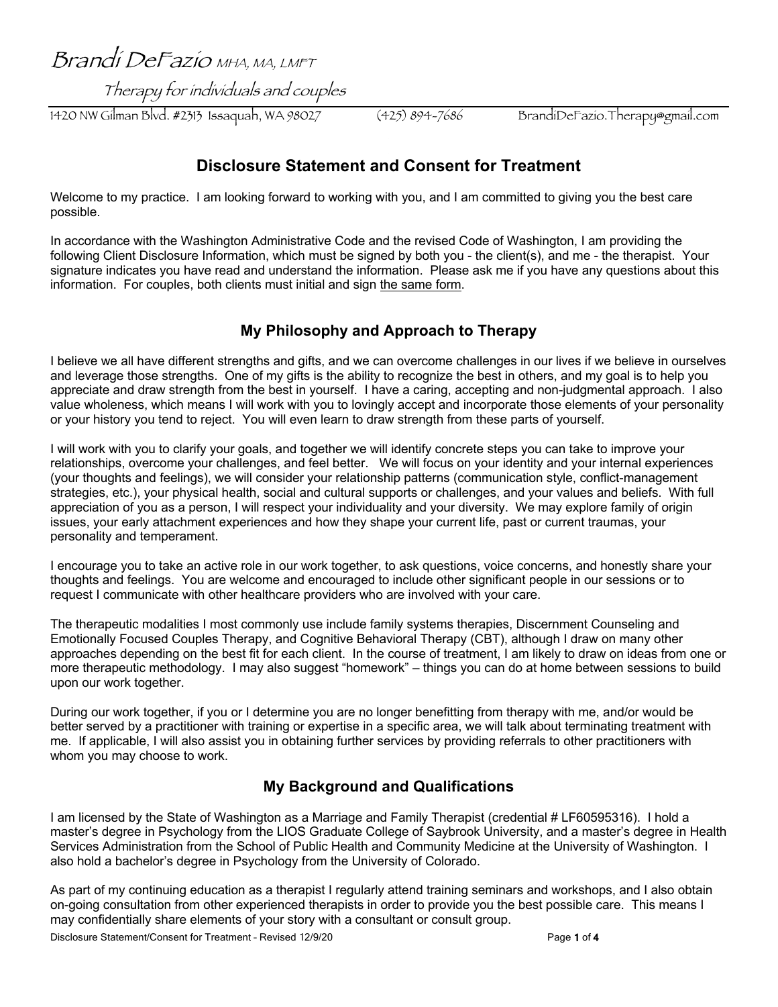Brandi DeFazio MHA, MA, LMFT

Therapy for individuals and couples

1420 NW Gilman Blvd. #2313 Issaquah, WA 98027 (425) 894-7686 BrandiDeFazio.Therapy@gmail.com

# **Disclosure Statement and Consent for Treatment**

Welcome to my practice. I am looking forward to working with you, and I am committed to giving you the best care possible.

In accordance with the Washington Administrative Code and the revised Code of Washington, I am providing the following Client Disclosure Information, which must be signed by both you - the client(s), and me - the therapist. Your signature indicates you have read and understand the information. Please ask me if you have any questions about this information. For couples, both clients must initial and sign the same form.

## **My Philosophy and Approach to Therapy**

I believe we all have different strengths and gifts, and we can overcome challenges in our lives if we believe in ourselves and leverage those strengths. One of my gifts is the ability to recognize the best in others, and my goal is to help you appreciate and draw strength from the best in yourself. I have a caring, accepting and non-judgmental approach. I also value wholeness, which means I will work with you to lovingly accept and incorporate those elements of your personality or your history you tend to reject. You will even learn to draw strength from these parts of yourself.

I will work with you to clarify your goals, and together we will identify concrete steps you can take to improve your relationships, overcome your challenges, and feel better. We will focus on your identity and your internal experiences (your thoughts and feelings), we will consider your relationship patterns (communication style, conflict-management strategies, etc.), your physical health, social and cultural supports or challenges, and your values and beliefs. With full appreciation of you as a person, I will respect your individuality and your diversity. We may explore family of origin issues, your early attachment experiences and how they shape your current life, past or current traumas, your personality and temperament.

I encourage you to take an active role in our work together, to ask questions, voice concerns, and honestly share your thoughts and feelings. You are welcome and encouraged to include other significant people in our sessions or to request I communicate with other healthcare providers who are involved with your care.

The therapeutic modalities I most commonly use include family systems therapies, Discernment Counseling and Emotionally Focused Couples Therapy, and Cognitive Behavioral Therapy (CBT), although I draw on many other approaches depending on the best fit for each client. In the course of treatment, I am likely to draw on ideas from one or more therapeutic methodology. I may also suggest "homework" – things you can do at home between sessions to build upon our work together.

During our work together, if you or I determine you are no longer benefitting from therapy with me, and/or would be better served by a practitioner with training or expertise in a specific area, we will talk about terminating treatment with me. If applicable, I will also assist you in obtaining further services by providing referrals to other practitioners with whom you may choose to work.

## **My Background and Qualifications**

I am licensed by the State of Washington as a Marriage and Family Therapist (credential # LF60595316). I hold a master's degree in Psychology from the LIOS Graduate College of Saybrook University, and a master's degree in Health Services Administration from the School of Public Health and Community Medicine at the University of Washington. I also hold a bachelor's degree in Psychology from the University of Colorado.

As part of my continuing education as a therapist I regularly attend training seminars and workshops, and I also obtain on-going consultation from other experienced therapists in order to provide you the best possible care. This means I may confidentially share elements of your story with a consultant or consult group.

Disclosure Statement/Consent for Treatment - Revised 12/9/20 Page 1 of 4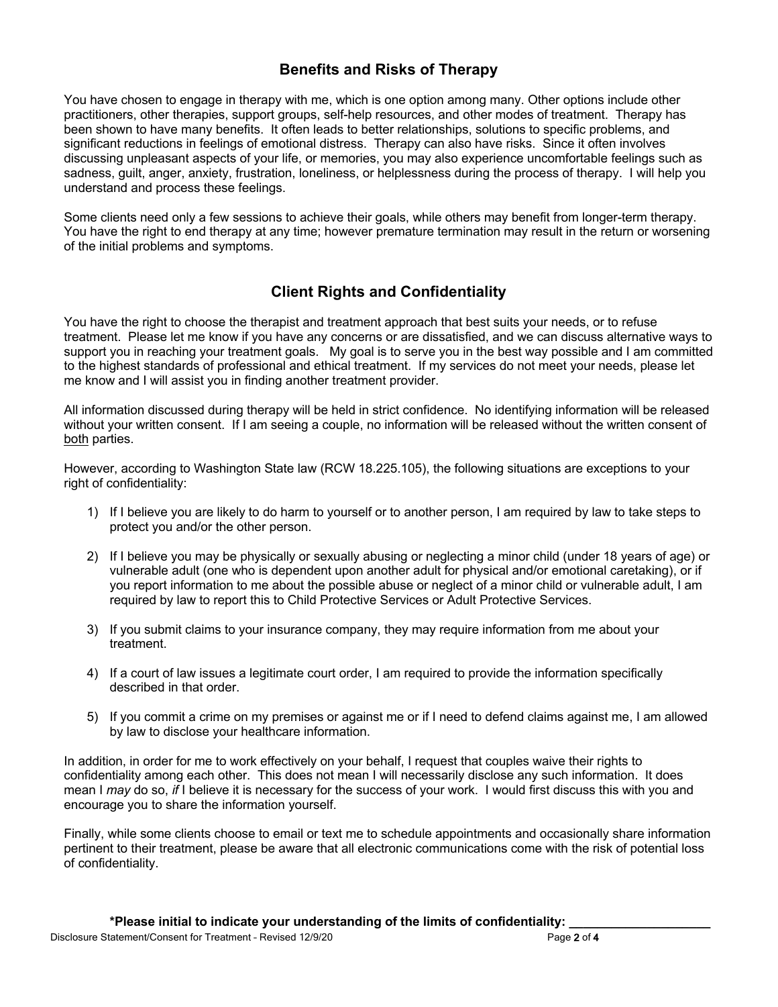### **Benefits and Risks of Therapy**

You have chosen to engage in therapy with me, which is one option among many. Other options include other practitioners, other therapies, support groups, self-help resources, and other modes of treatment. Therapy has been shown to have many benefits. It often leads to better relationships, solutions to specific problems, and significant reductions in feelings of emotional distress. Therapy can also have risks. Since it often involves discussing unpleasant aspects of your life, or memories, you may also experience uncomfortable feelings such as sadness, guilt, anger, anxiety, frustration, loneliness, or helplessness during the process of therapy. I will help you understand and process these feelings.

Some clients need only a few sessions to achieve their goals, while others may benefit from longer-term therapy. You have the right to end therapy at any time; however premature termination may result in the return or worsening of the initial problems and symptoms.

## **Client Rights and Confidentiality**

You have the right to choose the therapist and treatment approach that best suits your needs, or to refuse treatment. Please let me know if you have any concerns or are dissatisfied, and we can discuss alternative ways to support you in reaching your treatment goals. My goal is to serve you in the best way possible and I am committed to the highest standards of professional and ethical treatment. If my services do not meet your needs, please let me know and I will assist you in finding another treatment provider.

All information discussed during therapy will be held in strict confidence. No identifying information will be released without your written consent. If I am seeing a couple, no information will be released without the written consent of both parties.

However, according to Washington State law (RCW 18.225.105), the following situations are exceptions to your right of confidentiality:

- 1) If I believe you are likely to do harm to yourself or to another person, I am required by law to take steps to protect you and/or the other person.
- 2) If I believe you may be physically or sexually abusing or neglecting a minor child (under 18 years of age) or vulnerable adult (one who is dependent upon another adult for physical and/or emotional caretaking), or if you report information to me about the possible abuse or neglect of a minor child or vulnerable adult, I am required by law to report this to Child Protective Services or Adult Protective Services.
- 3) If you submit claims to your insurance company, they may require information from me about your treatment.
- 4) If a court of law issues a legitimate court order, I am required to provide the information specifically described in that order.
- 5) If you commit a crime on my premises or against me or if I need to defend claims against me, I am allowed by law to disclose your healthcare information.

In addition, in order for me to work effectively on your behalf, I request that couples waive their rights to confidentiality among each other. This does not mean I will necessarily disclose any such information. It does mean I *may* do so, *if* I believe it is necessary for the success of your work. I would first discuss this with you and encourage you to share the information yourself.

Finally, while some clients choose to email or text me to schedule appointments and occasionally share information pertinent to their treatment, please be aware that all electronic communications come with the risk of potential loss of confidentiality.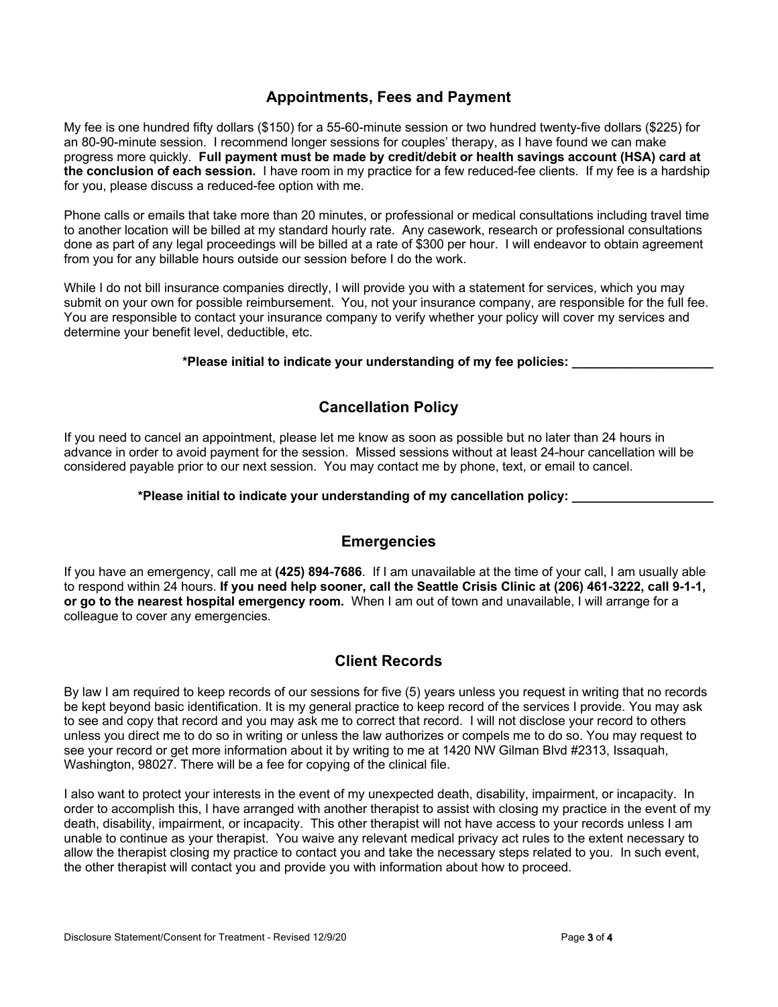### **Appointments, Fees and Payment**

My fee is one hundred fifty dollars (\$150) for a 55-60-minute session or two hundred twenty-five dollars (\$225) for an 80-90-minute session. I recommend longer sessions for couples' therapy, as I have found we can make progress more quickly. **Full payment must be made by credit/debit or health savings account (HSA) card at the conclusion of each session.** I have room in my practice for a few reduced-fee clients. If my fee is a hardship for you, please discuss a reduced-fee option with me.

Phone calls or emails that take more than 20 minutes, or professional or medical consultations including travel time to another location will be billed at my standard hourly rate. Any casework, research or professional consultations done as part of any legal proceedings will be billed at a rate of \$300 per hour. I will endeavor to obtain agreement from you for any billable hours outside our session before I do the work.

While I do not bill insurance companies directly, I will provide you with a statement for services, which you may submit on your own for possible reimbursement. You, not your insurance company, are responsible for the full fee. You are responsible to contact your insurance company to verify whether your policy will cover my services and determine your benefit level, deductible, etc.

#### **\*Please initial to indicate your understanding of my fee policies: \_\_\_\_\_\_\_\_\_\_\_\_\_\_\_\_\_\_\_\_**

#### **Cancellation Policy**

If you need to cancel an appointment, please let me know as soon as possible but no later than 24 hours in advance in order to avoid payment for the session. Missed sessions without at least 24-hour cancellation will be considered payable prior to our next session. You may contact me by phone, text, or email to cancel.

#### **\*Please initial to indicate your understanding of my cancellation policy: \_\_\_\_\_\_\_\_\_\_\_\_\_\_\_\_\_\_\_\_**

#### **Emergencies**

If you have an emergency, call me at **(425) 894-7686**. If I am unavailable at the time of your call, I am usually able to respond within 24 hours. **If you need help sooner, call the Seattle Crisis Clinic at (206) 461-3222, call 9-1-1, or go to the nearest hospital emergency room.** When I am out of town and unavailable, I will arrange for a colleague to cover any emergencies.

#### **Client Records**

By law I am required to keep records of our sessions for five (5) years unless you request in writing that no records be kept beyond basic identification. It is my general practice to keep record of the services I provide. You may ask to see and copy that record and you may ask me to correct that record. I will not disclose your record to others unless you direct me to do so in writing or unless the law authorizes or compels me to do so. You may request to see your record or get more information about it by writing to me at 1420 NW Gilman Blvd #2313, Issaquah, Washington, 98027. There will be a fee for copying of the clinical file.

I also want to protect your interests in the event of my unexpected death, disability, impairment, or incapacity. In order to accomplish this, I have arranged with another therapist to assist with closing my practice in the event of my death, disability, impairment, or incapacity. This other therapist will not have access to your records unless I am unable to continue as your therapist. You waive any relevant medical privacy act rules to the extent necessary to allow the therapist closing my practice to contact you and take the necessary steps related to you. In such event, the other therapist will contact you and provide you with information about how to proceed.